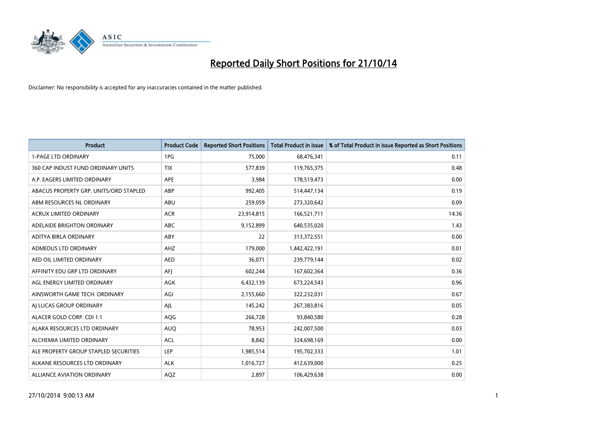

| Product                                | <b>Product Code</b> | <b>Reported Short Positions</b> | <b>Total Product in Issue</b> | % of Total Product in Issue Reported as Short Positions |
|----------------------------------------|---------------------|---------------------------------|-------------------------------|---------------------------------------------------------|
| <b>1-PAGE LTD ORDINARY</b>             | 1PG                 | 75,000                          | 68,476,341                    | 0.11                                                    |
| 360 CAP INDUST FUND ORDINARY UNITS     | <b>TIX</b>          | 577,839                         | 119,765,375                   | 0.48                                                    |
| A.P. EAGERS LIMITED ORDINARY           | APE                 | 3,984                           | 178,519,473                   | 0.00                                                    |
| ABACUS PROPERTY GRP. UNITS/ORD STAPLED | ABP                 | 992,405                         | 514,447,134                   | 0.19                                                    |
| ABM RESOURCES NL ORDINARY              | ABU                 | 259,059                         | 273,320,642                   | 0.09                                                    |
| <b>ACRUX LIMITED ORDINARY</b>          | <b>ACR</b>          | 23,914,815                      | 166,521,711                   | 14.36                                                   |
| ADELAIDE BRIGHTON ORDINARY             | <b>ABC</b>          | 9,152,899                       | 640,535,020                   | 1.43                                                    |
| ADITYA BIRLA ORDINARY                  | ABY                 | 22                              | 313,372,551                   | 0.00                                                    |
| ADMEDUS LTD ORDINARY                   | AHZ                 | 179,000                         | 1,442,422,191                 | 0.01                                                    |
| AED OIL LIMITED ORDINARY               | <b>AED</b>          | 36,071                          | 239,779,144                   | 0.02                                                    |
| AFFINITY EDU GRP LTD ORDINARY          | AFI                 | 602,244                         | 167,602,364                   | 0.36                                                    |
| AGL ENERGY LIMITED ORDINARY            | AGK                 | 6,432,139                       | 673,224,543                   | 0.96                                                    |
| AINSWORTH GAME TECH. ORDINARY          | AGI                 | 2,155,660                       | 322,232,031                   | 0.67                                                    |
| AI LUCAS GROUP ORDINARY                | AJL                 | 145,242                         | 267,383,816                   | 0.05                                                    |
| ALACER GOLD CORP. CDI 1:1              | AQG                 | 266,728                         | 93,840,580                    | 0.28                                                    |
| ALARA RESOURCES LTD ORDINARY           | <b>AUQ</b>          | 78,953                          | 242,007,500                   | 0.03                                                    |
| ALCHEMIA LIMITED ORDINARY              | <b>ACL</b>          | 8,842                           | 324,698,169                   | 0.00                                                    |
| ALE PROPERTY GROUP STAPLED SECURITIES  | LEP                 | 1,985,514                       | 195,702,333                   | 1.01                                                    |
| ALKANE RESOURCES LTD ORDINARY          | <b>ALK</b>          | 1,016,727                       | 412,639,000                   | 0.25                                                    |
| ALLIANCE AVIATION ORDINARY             | AQZ                 | 2,897                           | 106,429,638                   | 0.00                                                    |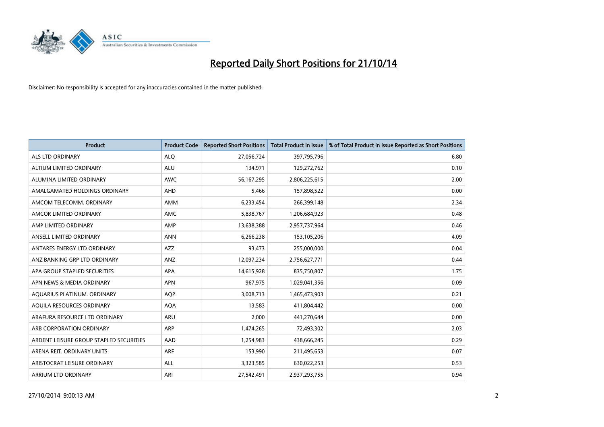

| <b>Product</b>                          | <b>Product Code</b> | <b>Reported Short Positions</b> | <b>Total Product in Issue</b> | % of Total Product in Issue Reported as Short Positions |
|-----------------------------------------|---------------------|---------------------------------|-------------------------------|---------------------------------------------------------|
| ALS LTD ORDINARY                        | <b>ALQ</b>          | 27,056,724                      | 397,795,796                   | 6.80                                                    |
| ALTIUM LIMITED ORDINARY                 | <b>ALU</b>          | 134,971                         | 129,272,762                   | 0.10                                                    |
| ALUMINA LIMITED ORDINARY                | <b>AWC</b>          | 56, 167, 295                    | 2,806,225,615                 | 2.00                                                    |
| AMALGAMATED HOLDINGS ORDINARY           | <b>AHD</b>          | 5,466                           | 157,898,522                   | 0.00                                                    |
| AMCOM TELECOMM, ORDINARY                | <b>AMM</b>          | 6,233,454                       | 266,399,148                   | 2.34                                                    |
| AMCOR LIMITED ORDINARY                  | <b>AMC</b>          | 5,838,767                       | 1,206,684,923                 | 0.48                                                    |
| AMP LIMITED ORDINARY                    | AMP                 | 13,638,388                      | 2,957,737,964                 | 0.46                                                    |
| ANSELL LIMITED ORDINARY                 | <b>ANN</b>          | 6,266,238                       | 153,105,206                   | 4.09                                                    |
| ANTARES ENERGY LTD ORDINARY             | <b>AZZ</b>          | 93,473                          | 255,000,000                   | 0.04                                                    |
| ANZ BANKING GRP LTD ORDINARY            | ANZ                 | 12,097,234                      | 2,756,627,771                 | 0.44                                                    |
| APA GROUP STAPLED SECURITIES            | APA                 | 14,615,928                      | 835,750,807                   | 1.75                                                    |
| APN NEWS & MEDIA ORDINARY               | <b>APN</b>          | 967,975                         | 1,029,041,356                 | 0.09                                                    |
| AQUARIUS PLATINUM. ORDINARY             | <b>AOP</b>          | 3,008,713                       | 1,465,473,903                 | 0.21                                                    |
| AQUILA RESOURCES ORDINARY               | <b>AQA</b>          | 13,583                          | 411,804,442                   | 0.00                                                    |
| ARAFURA RESOURCE LTD ORDINARY           | <b>ARU</b>          | 2,000                           | 441,270,644                   | 0.00                                                    |
| ARB CORPORATION ORDINARY                | ARP                 | 1,474,265                       | 72,493,302                    | 2.03                                                    |
| ARDENT LEISURE GROUP STAPLED SECURITIES | AAD                 | 1,254,983                       | 438,666,245                   | 0.29                                                    |
| ARENA REIT. ORDINARY UNITS              | <b>ARF</b>          | 153,990                         | 211,495,653                   | 0.07                                                    |
| ARISTOCRAT LEISURE ORDINARY             | <b>ALL</b>          | 3,323,585                       | 630,022,253                   | 0.53                                                    |
| ARRIUM LTD ORDINARY                     | ARI                 | 27,542,491                      | 2,937,293,755                 | 0.94                                                    |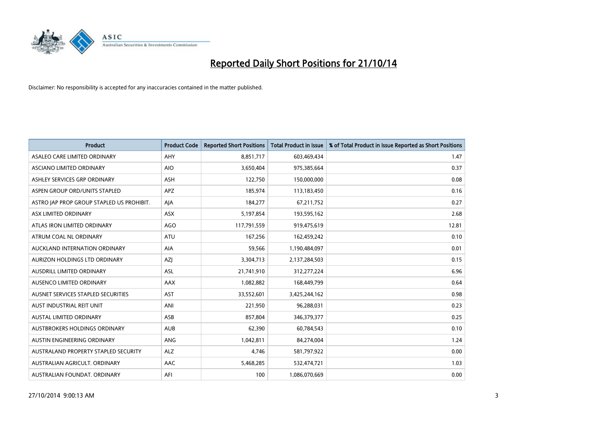

| <b>Product</b>                            | <b>Product Code</b> | <b>Reported Short Positions</b> | <b>Total Product in Issue</b> | % of Total Product in Issue Reported as Short Positions |
|-------------------------------------------|---------------------|---------------------------------|-------------------------------|---------------------------------------------------------|
| ASALEO CARE LIMITED ORDINARY              | AHY                 | 8,851,717                       | 603,469,434                   | 1.47                                                    |
| ASCIANO LIMITED ORDINARY                  | <b>AIO</b>          | 3,650,404                       | 975,385,664                   | 0.37                                                    |
| ASHLEY SERVICES GRP ORDINARY              | <b>ASH</b>          | 122,750                         | 150,000,000                   | 0.08                                                    |
| ASPEN GROUP ORD/UNITS STAPLED             | APZ                 | 185,974                         | 113,183,450                   | 0.16                                                    |
| ASTRO JAP PROP GROUP STAPLED US PROHIBIT. | AJA                 | 184,277                         | 67,211,752                    | 0.27                                                    |
| ASX LIMITED ORDINARY                      | ASX                 | 5,197,854                       | 193,595,162                   | 2.68                                                    |
| ATLAS IRON LIMITED ORDINARY               | <b>AGO</b>          | 117,791,559                     | 919,475,619                   | 12.81                                                   |
| ATRUM COAL NL ORDINARY                    | ATU                 | 167,256                         | 162,459,242                   | 0.10                                                    |
| AUCKLAND INTERNATION ORDINARY             | <b>AIA</b>          | 59,566                          | 1,190,484,097                 | 0.01                                                    |
| AURIZON HOLDINGS LTD ORDINARY             | AZI                 | 3,304,713                       | 2,137,284,503                 | 0.15                                                    |
| AUSDRILL LIMITED ORDINARY                 | ASL                 | 21,741,910                      | 312,277,224                   | 6.96                                                    |
| AUSENCO LIMITED ORDINARY                  | AAX                 | 1,082,882                       | 168,449,799                   | 0.64                                                    |
| AUSNET SERVICES STAPLED SECURITIES        | <b>AST</b>          | 33,552,601                      | 3,425,244,162                 | 0.98                                                    |
| AUST INDUSTRIAL REIT UNIT                 | ANI                 | 221,950                         | 96,288,031                    | 0.23                                                    |
| <b>AUSTAL LIMITED ORDINARY</b>            | ASB                 | 857,804                         | 346,379,377                   | 0.25                                                    |
| AUSTBROKERS HOLDINGS ORDINARY             | <b>AUB</b>          | 62,390                          | 60,784,543                    | 0.10                                                    |
| AUSTIN ENGINEERING ORDINARY               | ANG                 | 1,042,811                       | 84,274,004                    | 1.24                                                    |
| AUSTRALAND PROPERTY STAPLED SECURITY      | <b>ALZ</b>          | 4,746                           | 581,797,922                   | 0.00                                                    |
| AUSTRALIAN AGRICULT, ORDINARY             | AAC                 | 5,468,285                       | 532,474,721                   | 1.03                                                    |
| AUSTRALIAN FOUNDAT. ORDINARY              | AFI                 | 100                             | 1,086,070,669                 | 0.00                                                    |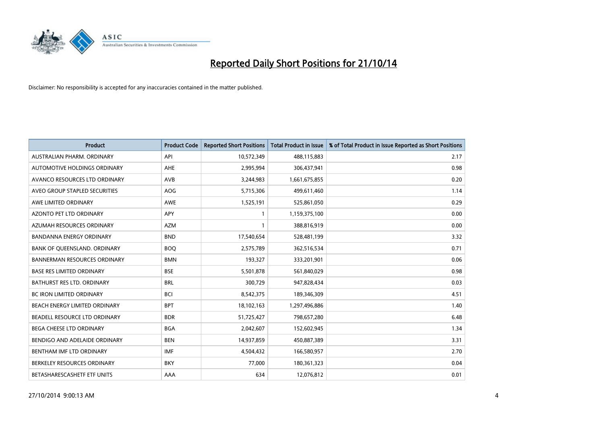

| <b>Product</b>                      | <b>Product Code</b> | <b>Reported Short Positions</b> | <b>Total Product in Issue</b> | % of Total Product in Issue Reported as Short Positions |
|-------------------------------------|---------------------|---------------------------------|-------------------------------|---------------------------------------------------------|
| AUSTRALIAN PHARM, ORDINARY          | API                 | 10,572,349                      | 488,115,883                   | 2.17                                                    |
| AUTOMOTIVE HOLDINGS ORDINARY        | AHE                 | 2,995,994                       | 306,437,941                   | 0.98                                                    |
| AVANCO RESOURCES LTD ORDINARY       | AVB                 | 3,244,983                       | 1,661,675,855                 | 0.20                                                    |
| AVEO GROUP STAPLED SECURITIES       | AOG                 | 5,715,306                       | 499,611,460                   | 1.14                                                    |
| AWE LIMITED ORDINARY                | <b>AWE</b>          | 1,525,191                       | 525,861,050                   | 0.29                                                    |
| AZONTO PET LTD ORDINARY             | <b>APY</b>          | 1                               | 1,159,375,100                 | 0.00                                                    |
| AZUMAH RESOURCES ORDINARY           | <b>AZM</b>          | $\mathbf{1}$                    | 388,816,919                   | 0.00                                                    |
| BANDANNA ENERGY ORDINARY            | <b>BND</b>          | 17,540,654                      | 528,481,199                   | 3.32                                                    |
| BANK OF QUEENSLAND. ORDINARY        | <b>BOQ</b>          | 2,575,789                       | 362,516,534                   | 0.71                                                    |
| <b>BANNERMAN RESOURCES ORDINARY</b> | <b>BMN</b>          | 193,327                         | 333,201,901                   | 0.06                                                    |
| <b>BASE RES LIMITED ORDINARY</b>    | <b>BSE</b>          | 5,501,878                       | 561,840,029                   | 0.98                                                    |
| BATHURST RES LTD. ORDINARY          | <b>BRL</b>          | 300,729                         | 947,828,434                   | 0.03                                                    |
| BC IRON LIMITED ORDINARY            | <b>BCI</b>          | 8,542,375                       | 189,346,309                   | 4.51                                                    |
| BEACH ENERGY LIMITED ORDINARY       | <b>BPT</b>          | 18,102,163                      | 1,297,496,886                 | 1.40                                                    |
| BEADELL RESOURCE LTD ORDINARY       | <b>BDR</b>          | 51,725,427                      | 798,657,280                   | 6.48                                                    |
| <b>BEGA CHEESE LTD ORDINARY</b>     | <b>BGA</b>          | 2,042,607                       | 152,602,945                   | 1.34                                                    |
| BENDIGO AND ADELAIDE ORDINARY       | <b>BEN</b>          | 14,937,859                      | 450,887,389                   | 3.31                                                    |
| BENTHAM IMF LTD ORDINARY            | <b>IMF</b>          | 4,504,432                       | 166,580,957                   | 2.70                                                    |
| BERKELEY RESOURCES ORDINARY         | <b>BKY</b>          | 77,000                          | 180,361,323                   | 0.04                                                    |
| BETASHARESCASHETF ETF UNITS         | AAA                 | 634                             | 12,076,812                    | 0.01                                                    |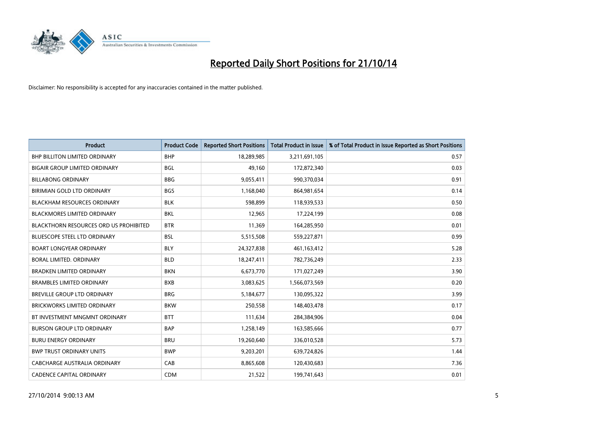

| <b>Product</b>                                | <b>Product Code</b> | <b>Reported Short Positions</b> | <b>Total Product in Issue</b> | % of Total Product in Issue Reported as Short Positions |
|-----------------------------------------------|---------------------|---------------------------------|-------------------------------|---------------------------------------------------------|
| <b>BHP BILLITON LIMITED ORDINARY</b>          | <b>BHP</b>          | 18,289,985                      | 3,211,691,105                 | 0.57                                                    |
| <b>BIGAIR GROUP LIMITED ORDINARY</b>          | <b>BGL</b>          | 49,160                          | 172,872,340                   | 0.03                                                    |
| <b>BILLABONG ORDINARY</b>                     | <b>BBG</b>          | 9,055,411                       | 990,370,034                   | 0.91                                                    |
| BIRIMIAN GOLD LTD ORDINARY                    | <b>BGS</b>          | 1,168,040                       | 864,981,654                   | 0.14                                                    |
| <b>BLACKHAM RESOURCES ORDINARY</b>            | <b>BLK</b>          | 598,899                         | 118,939,533                   | 0.50                                                    |
| <b>BLACKMORES LIMITED ORDINARY</b>            | <b>BKL</b>          | 12,965                          | 17,224,199                    | 0.08                                                    |
| <b>BLACKTHORN RESOURCES ORD US PROHIBITED</b> | <b>BTR</b>          | 11,369                          | 164,285,950                   | 0.01                                                    |
| <b>BLUESCOPE STEEL LTD ORDINARY</b>           | <b>BSL</b>          | 5,515,508                       | 559,227,871                   | 0.99                                                    |
| <b>BOART LONGYEAR ORDINARY</b>                | <b>BLY</b>          | 24,327,838                      | 461,163,412                   | 5.28                                                    |
| <b>BORAL LIMITED, ORDINARY</b>                | <b>BLD</b>          | 18,247,411                      | 782,736,249                   | 2.33                                                    |
| <b>BRADKEN LIMITED ORDINARY</b>               | <b>BKN</b>          | 6,673,770                       | 171,027,249                   | 3.90                                                    |
| <b>BRAMBLES LIMITED ORDINARY</b>              | <b>BXB</b>          | 3,083,625                       | 1,566,073,569                 | 0.20                                                    |
| BREVILLE GROUP LTD ORDINARY                   | <b>BRG</b>          | 5,184,677                       | 130,095,322                   | 3.99                                                    |
| <b>BRICKWORKS LIMITED ORDINARY</b>            | <b>BKW</b>          | 250,558                         | 148,403,478                   | 0.17                                                    |
| BT INVESTMENT MNGMNT ORDINARY                 | <b>BTT</b>          | 111,634                         | 284,384,906                   | 0.04                                                    |
| <b>BURSON GROUP LTD ORDINARY</b>              | <b>BAP</b>          | 1,258,149                       | 163,585,666                   | 0.77                                                    |
| <b>BURU ENERGY ORDINARY</b>                   | <b>BRU</b>          | 19,260,640                      | 336,010,528                   | 5.73                                                    |
| <b>BWP TRUST ORDINARY UNITS</b>               | <b>BWP</b>          | 9,203,201                       | 639,724,826                   | 1.44                                                    |
| CABCHARGE AUSTRALIA ORDINARY                  | CAB                 | 8,865,608                       | 120,430,683                   | 7.36                                                    |
| <b>CADENCE CAPITAL ORDINARY</b>               | <b>CDM</b>          | 21,522                          | 199,741,643                   | 0.01                                                    |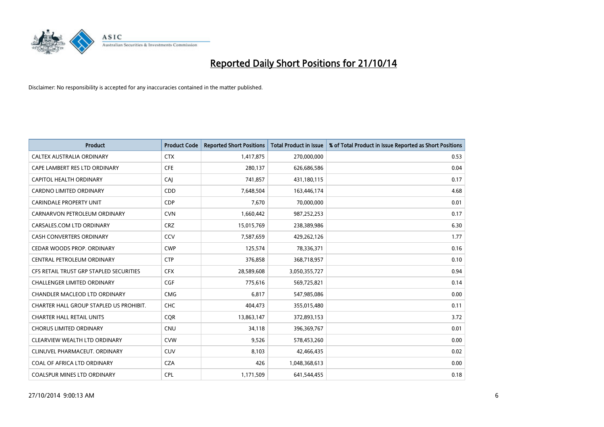

| <b>Product</b>                          | <b>Product Code</b> | <b>Reported Short Positions</b> | <b>Total Product in Issue</b> | % of Total Product in Issue Reported as Short Positions |
|-----------------------------------------|---------------------|---------------------------------|-------------------------------|---------------------------------------------------------|
| CALTEX AUSTRALIA ORDINARY               | <b>CTX</b>          | 1,417,875                       | 270,000,000                   | 0.53                                                    |
| CAPE LAMBERT RES LTD ORDINARY           | <b>CFE</b>          | 280,137                         | 626,686,586                   | 0.04                                                    |
| CAPITOL HEALTH ORDINARY                 | <b>CAJ</b>          | 741,857                         | 431,180,115                   | 0.17                                                    |
| CARDNO LIMITED ORDINARY                 | CDD                 | 7,648,504                       | 163,446,174                   | 4.68                                                    |
| <b>CARINDALE PROPERTY UNIT</b>          | <b>CDP</b>          | 7,670                           | 70,000,000                    | 0.01                                                    |
| CARNARVON PETROLEUM ORDINARY            | <b>CVN</b>          | 1,660,442                       | 987,252,253                   | 0.17                                                    |
| CARSALES.COM LTD ORDINARY               | <b>CRZ</b>          | 15,015,769                      | 238,389,986                   | 6.30                                                    |
| CASH CONVERTERS ORDINARY                | CCV                 | 7,587,659                       | 429,262,126                   | 1.77                                                    |
| CEDAR WOODS PROP. ORDINARY              | <b>CWP</b>          | 125,574                         | 78,336,371                    | 0.16                                                    |
| <b>CENTRAL PETROLEUM ORDINARY</b>       | <b>CTP</b>          | 376,858                         | 368,718,957                   | 0.10                                                    |
| CFS RETAIL TRUST GRP STAPLED SECURITIES | <b>CFX</b>          | 28,589,608                      | 3,050,355,727                 | 0.94                                                    |
| <b>CHALLENGER LIMITED ORDINARY</b>      | <b>CGF</b>          | 775,616                         | 569,725,821                   | 0.14                                                    |
| CHANDLER MACLEOD LTD ORDINARY           | <b>CMG</b>          | 6,817                           | 547,985,086                   | 0.00                                                    |
| CHARTER HALL GROUP STAPLED US PROHIBIT. | <b>CHC</b>          | 404,473                         | 355,015,480                   | 0.11                                                    |
| <b>CHARTER HALL RETAIL UNITS</b>        | CQR                 | 13,863,147                      | 372,893,153                   | 3.72                                                    |
| <b>CHORUS LIMITED ORDINARY</b>          | <b>CNU</b>          | 34,118                          | 396,369,767                   | 0.01                                                    |
| CLEARVIEW WEALTH LTD ORDINARY           | <b>CVW</b>          | 9,526                           | 578,453,260                   | 0.00                                                    |
| CLINUVEL PHARMACEUT. ORDINARY           | <b>CUV</b>          | 8,103                           | 42,466,435                    | 0.02                                                    |
| COAL OF AFRICA LTD ORDINARY             | <b>CZA</b>          | 426                             | 1,048,368,613                 | 0.00                                                    |
| COALSPUR MINES LTD ORDINARY             | <b>CPL</b>          | 1,171,509                       | 641,544,455                   | 0.18                                                    |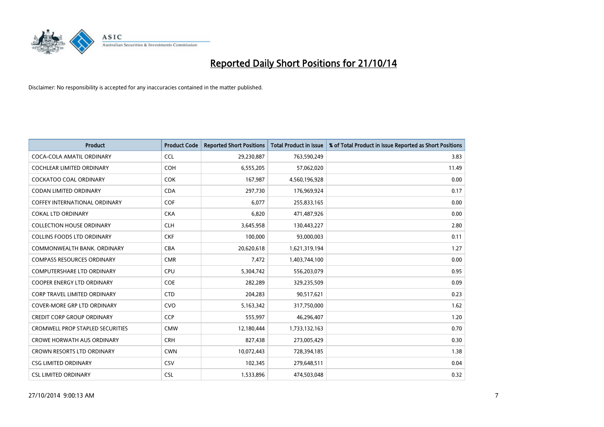

| <b>Product</b>                          | <b>Product Code</b> | <b>Reported Short Positions</b> | <b>Total Product in Issue</b> | % of Total Product in Issue Reported as Short Positions |
|-----------------------------------------|---------------------|---------------------------------|-------------------------------|---------------------------------------------------------|
| COCA-COLA AMATIL ORDINARY               | <b>CCL</b>          | 29,230,887                      | 763,590,249                   | 3.83                                                    |
| COCHLEAR LIMITED ORDINARY               | <b>COH</b>          | 6,555,205                       | 57,062,020                    | 11.49                                                   |
| COCKATOO COAL ORDINARY                  | <b>COK</b>          | 167,987                         | 4,560,196,928                 | 0.00                                                    |
| <b>CODAN LIMITED ORDINARY</b>           | <b>CDA</b>          | 297,730                         | 176,969,924                   | 0.17                                                    |
| COFFEY INTERNATIONAL ORDINARY           | <b>COF</b>          | 6,077                           | 255,833,165                   | 0.00                                                    |
| <b>COKAL LTD ORDINARY</b>               | <b>CKA</b>          | 6,820                           | 471,487,926                   | 0.00                                                    |
| <b>COLLECTION HOUSE ORDINARY</b>        | <b>CLH</b>          | 3,645,958                       | 130,443,227                   | 2.80                                                    |
| <b>COLLINS FOODS LTD ORDINARY</b>       | <b>CKF</b>          | 100,000                         | 93,000,003                    | 0.11                                                    |
| COMMONWEALTH BANK, ORDINARY             | <b>CBA</b>          | 20,620,618                      | 1,621,319,194                 | 1.27                                                    |
| <b>COMPASS RESOURCES ORDINARY</b>       | <b>CMR</b>          | 7,472                           | 1,403,744,100                 | 0.00                                                    |
| COMPUTERSHARE LTD ORDINARY              | <b>CPU</b>          | 5,304,742                       | 556,203,079                   | 0.95                                                    |
| COOPER ENERGY LTD ORDINARY              | <b>COE</b>          | 282,289                         | 329,235,509                   | 0.09                                                    |
| CORP TRAVEL LIMITED ORDINARY            | <b>CTD</b>          | 204,283                         | 90,517,621                    | 0.23                                                    |
| <b>COVER-MORE GRP LTD ORDINARY</b>      | <b>CVO</b>          | 5,163,342                       | 317,750,000                   | 1.62                                                    |
| <b>CREDIT CORP GROUP ORDINARY</b>       | <b>CCP</b>          | 555,997                         | 46,296,407                    | 1.20                                                    |
| <b>CROMWELL PROP STAPLED SECURITIES</b> | <b>CMW</b>          | 12,180,444                      | 1,733,132,163                 | 0.70                                                    |
| <b>CROWE HORWATH AUS ORDINARY</b>       | <b>CRH</b>          | 827,438                         | 273,005,429                   | 0.30                                                    |
| CROWN RESORTS LTD ORDINARY              | <b>CWN</b>          | 10,072,443                      | 728,394,185                   | 1.38                                                    |
| <b>CSG LIMITED ORDINARY</b>             | CSV                 | 102,345                         | 279,648,511                   | 0.04                                                    |
| <b>CSL LIMITED ORDINARY</b>             | <b>CSL</b>          | 1,533,896                       | 474,503,048                   | 0.32                                                    |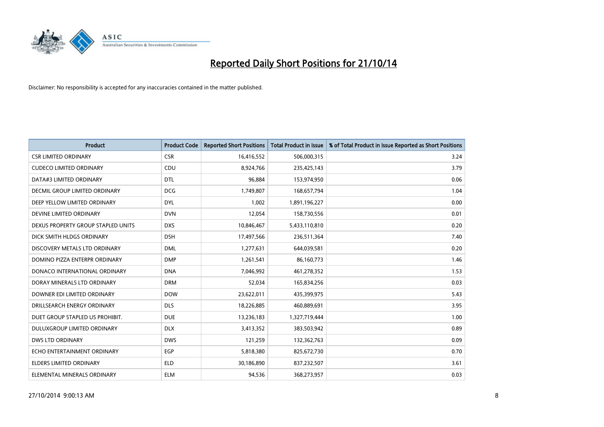

| <b>Product</b>                     | <b>Product Code</b> | <b>Reported Short Positions</b> | <b>Total Product in Issue</b> | % of Total Product in Issue Reported as Short Positions |
|------------------------------------|---------------------|---------------------------------|-------------------------------|---------------------------------------------------------|
| <b>CSR LIMITED ORDINARY</b>        | <b>CSR</b>          | 16,416,552                      | 506,000,315                   | 3.24                                                    |
| <b>CUDECO LIMITED ORDINARY</b>     | <b>CDU</b>          | 8,924,766                       | 235,425,143                   | 3.79                                                    |
| DATA#3 LIMITED ORDINARY            | <b>DTL</b>          | 96,884                          | 153,974,950                   | 0.06                                                    |
| DECMIL GROUP LIMITED ORDINARY      | <b>DCG</b>          | 1,749,807                       | 168,657,794                   | 1.04                                                    |
| DEEP YELLOW LIMITED ORDINARY       | <b>DYL</b>          | 1,002                           | 1,891,196,227                 | 0.00                                                    |
| DEVINE LIMITED ORDINARY            | <b>DVN</b>          | 12,054                          | 158,730,556                   | 0.01                                                    |
| DEXUS PROPERTY GROUP STAPLED UNITS | <b>DXS</b>          | 10,846,467                      | 5,433,110,810                 | 0.20                                                    |
| DICK SMITH HLDGS ORDINARY          | <b>DSH</b>          | 17,497,566                      | 236,511,364                   | 7.40                                                    |
| DISCOVERY METALS LTD ORDINARY      | <b>DML</b>          | 1,277,631                       | 644,039,581                   | 0.20                                                    |
| DOMINO PIZZA ENTERPR ORDINARY      | <b>DMP</b>          | 1,261,541                       | 86,160,773                    | 1.46                                                    |
| DONACO INTERNATIONAL ORDINARY      | <b>DNA</b>          | 7,046,992                       | 461,278,352                   | 1.53                                                    |
| DORAY MINERALS LTD ORDINARY        | <b>DRM</b>          | 52,034                          | 165,834,256                   | 0.03                                                    |
| DOWNER EDI LIMITED ORDINARY        | <b>DOW</b>          | 23,622,011                      | 435,399,975                   | 5.43                                                    |
| DRILLSEARCH ENERGY ORDINARY        | <b>DLS</b>          | 18,226,885                      | 460,889,691                   | 3.95                                                    |
| DUET GROUP STAPLED US PROHIBIT.    | <b>DUE</b>          | 13,236,183                      | 1,327,719,444                 | 1.00                                                    |
| DULUXGROUP LIMITED ORDINARY        | <b>DLX</b>          | 3,413,352                       | 383,503,942                   | 0.89                                                    |
| <b>DWS LTD ORDINARY</b>            | <b>DWS</b>          | 121,259                         | 132,362,763                   | 0.09                                                    |
| ECHO ENTERTAINMENT ORDINARY        | <b>EGP</b>          | 5,818,380                       | 825,672,730                   | 0.70                                                    |
| <b>ELDERS LIMITED ORDINARY</b>     | <b>ELD</b>          | 30,186,890                      | 837,232,507                   | 3.61                                                    |
| ELEMENTAL MINERALS ORDINARY        | <b>ELM</b>          | 94,536                          | 368,273,957                   | 0.03                                                    |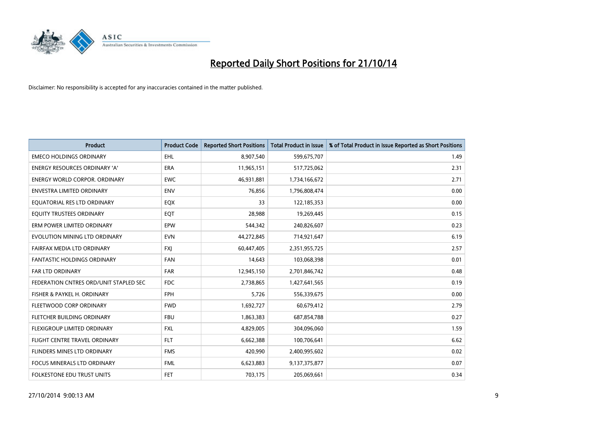

| <b>Product</b>                         | <b>Product Code</b> | <b>Reported Short Positions</b> | <b>Total Product in Issue</b> | % of Total Product in Issue Reported as Short Positions |
|----------------------------------------|---------------------|---------------------------------|-------------------------------|---------------------------------------------------------|
| <b>EMECO HOLDINGS ORDINARY</b>         | <b>EHL</b>          | 8,907,540                       | 599,675,707                   | 1.49                                                    |
| ENERGY RESOURCES ORDINARY 'A'          | <b>ERA</b>          | 11,965,151                      | 517,725,062                   | 2.31                                                    |
| ENERGY WORLD CORPOR. ORDINARY          | <b>EWC</b>          | 46,931,881                      | 1,734,166,672                 | 2.71                                                    |
| ENVESTRA LIMITED ORDINARY              | <b>ENV</b>          | 76,856                          | 1,796,808,474                 | 0.00                                                    |
| EQUATORIAL RES LTD ORDINARY            | EQX                 | 33                              | 122,185,353                   | 0.00                                                    |
| EQUITY TRUSTEES ORDINARY               | EQT                 | 28,988                          | 19,269,445                    | 0.15                                                    |
| ERM POWER LIMITED ORDINARY             | <b>EPW</b>          | 544,342                         | 240,826,607                   | 0.23                                                    |
| EVOLUTION MINING LTD ORDINARY          | <b>EVN</b>          | 44,272,845                      | 714,921,647                   | 6.19                                                    |
| FAIRFAX MEDIA LTD ORDINARY             | <b>FXI</b>          | 60,447,405                      | 2,351,955,725                 | 2.57                                                    |
| <b>FANTASTIC HOLDINGS ORDINARY</b>     | <b>FAN</b>          | 14,643                          | 103,068,398                   | 0.01                                                    |
| FAR LTD ORDINARY                       | FAR                 | 12,945,150                      | 2,701,846,742                 | 0.48                                                    |
| FEDERATION CNTRES ORD/UNIT STAPLED SEC | <b>FDC</b>          | 2,738,865                       | 1,427,641,565                 | 0.19                                                    |
| FISHER & PAYKEL H. ORDINARY            | <b>FPH</b>          | 5,726                           | 556,339,675                   | 0.00                                                    |
| FLEETWOOD CORP ORDINARY                | <b>FWD</b>          | 1,692,727                       | 60,679,412                    | 2.79                                                    |
| FLETCHER BUILDING ORDINARY             | <b>FBU</b>          | 1,863,383                       | 687,854,788                   | 0.27                                                    |
| FLEXIGROUP LIMITED ORDINARY            | <b>FXL</b>          | 4,829,005                       | 304,096,060                   | 1.59                                                    |
| FLIGHT CENTRE TRAVEL ORDINARY          | <b>FLT</b>          | 6,662,388                       | 100,706,641                   | 6.62                                                    |
| FLINDERS MINES LTD ORDINARY            | <b>FMS</b>          | 420,990                         | 2,400,995,602                 | 0.02                                                    |
| <b>FOCUS MINERALS LTD ORDINARY</b>     | <b>FML</b>          | 6,623,883                       | 9,137,375,877                 | 0.07                                                    |
| FOLKESTONE EDU TRUST UNITS             | <b>FET</b>          | 703,175                         | 205,069,661                   | 0.34                                                    |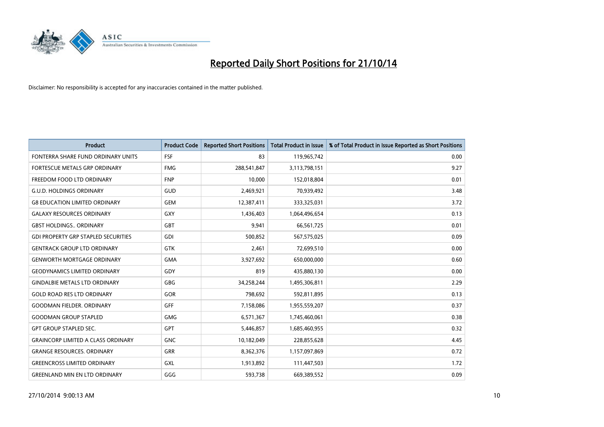

| <b>Product</b>                             | <b>Product Code</b> | <b>Reported Short Positions</b> | <b>Total Product in Issue</b> | % of Total Product in Issue Reported as Short Positions |
|--------------------------------------------|---------------------|---------------------------------|-------------------------------|---------------------------------------------------------|
| FONTERRA SHARE FUND ORDINARY UNITS         | <b>FSF</b>          | 83                              | 119,965,742                   | 0.00                                                    |
| FORTESCUE METALS GRP ORDINARY              | <b>FMG</b>          | 288,541,847                     | 3,113,798,151                 | 9.27                                                    |
| FREEDOM FOOD LTD ORDINARY                  | <b>FNP</b>          | 10,000                          | 152,018,804                   | 0.01                                                    |
| <b>G.U.D. HOLDINGS ORDINARY</b>            | GUD                 | 2,469,921                       | 70,939,492                    | 3.48                                                    |
| <b>G8 EDUCATION LIMITED ORDINARY</b>       | <b>GEM</b>          | 12,387,411                      | 333,325,031                   | 3.72                                                    |
| <b>GALAXY RESOURCES ORDINARY</b>           | GXY                 | 1,436,403                       | 1,064,496,654                 | 0.13                                                    |
| <b>GBST HOLDINGS., ORDINARY</b>            | <b>GBT</b>          | 9,941                           | 66,561,725                    | 0.01                                                    |
| <b>GDI PROPERTY GRP STAPLED SECURITIES</b> | <b>GDI</b>          | 500,852                         | 567,575,025                   | 0.09                                                    |
| <b>GENTRACK GROUP LTD ORDINARY</b>         | <b>GTK</b>          | 2,461                           | 72,699,510                    | 0.00                                                    |
| <b>GENWORTH MORTGAGE ORDINARY</b>          | <b>GMA</b>          | 3,927,692                       | 650,000,000                   | 0.60                                                    |
| <b>GEODYNAMICS LIMITED ORDINARY</b>        | GDY                 | 819                             | 435,880,130                   | 0.00                                                    |
| <b>GINDALBIE METALS LTD ORDINARY</b>       | GBG                 | 34,258,244                      | 1,495,306,811                 | 2.29                                                    |
| <b>GOLD ROAD RES LTD ORDINARY</b>          | GOR                 | 798,692                         | 592,811,895                   | 0.13                                                    |
| <b>GOODMAN FIELDER, ORDINARY</b>           | GFF                 | 7,158,086                       | 1,955,559,207                 | 0.37                                                    |
| <b>GOODMAN GROUP STAPLED</b>               | <b>GMG</b>          | 6,571,367                       | 1,745,460,061                 | 0.38                                                    |
| <b>GPT GROUP STAPLED SEC.</b>              | GPT                 | 5,446,857                       | 1,685,460,955                 | 0.32                                                    |
| <b>GRAINCORP LIMITED A CLASS ORDINARY</b>  | <b>GNC</b>          | 10,182,049                      | 228,855,628                   | 4.45                                                    |
| <b>GRANGE RESOURCES. ORDINARY</b>          | <b>GRR</b>          | 8,362,376                       | 1,157,097,869                 | 0.72                                                    |
| <b>GREENCROSS LIMITED ORDINARY</b>         | <b>GXL</b>          | 1,913,892                       | 111,447,503                   | 1.72                                                    |
| <b>GREENLAND MIN EN LTD ORDINARY</b>       | GGG                 | 593,738                         | 669,389,552                   | 0.09                                                    |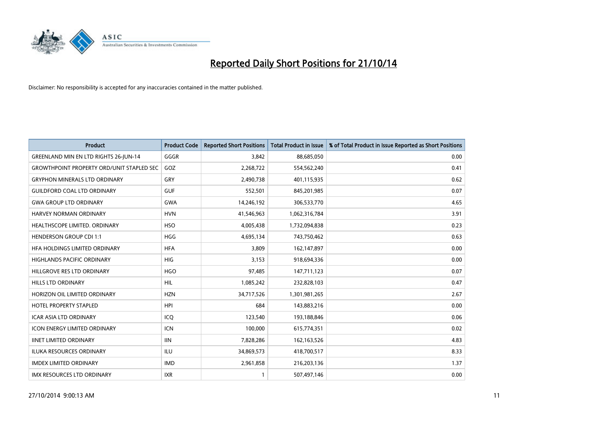

| <b>Product</b>                                   | <b>Product Code</b> | <b>Reported Short Positions</b> | <b>Total Product in Issue</b> | % of Total Product in Issue Reported as Short Positions |
|--------------------------------------------------|---------------------|---------------------------------|-------------------------------|---------------------------------------------------------|
| <b>GREENLAND MIN EN LTD RIGHTS 26-JUN-14</b>     | GGGR                | 3,842                           | 88,685,050                    | 0.00                                                    |
| <b>GROWTHPOINT PROPERTY ORD/UNIT STAPLED SEC</b> | GOZ                 | 2,268,722                       | 554,562,240                   | 0.41                                                    |
| <b>GRYPHON MINERALS LTD ORDINARY</b>             | GRY                 | 2,490,738                       | 401,115,935                   | 0.62                                                    |
| <b>GUILDFORD COAL LTD ORDINARY</b>               | <b>GUF</b>          | 552,501                         | 845,201,985                   | 0.07                                                    |
| <b>GWA GROUP LTD ORDINARY</b>                    | <b>GWA</b>          | 14,246,192                      | 306,533,770                   | 4.65                                                    |
| <b>HARVEY NORMAN ORDINARY</b>                    | <b>HVN</b>          | 41,546,963                      | 1,062,316,784                 | 3.91                                                    |
| HEALTHSCOPE LIMITED. ORDINARY                    | <b>HSO</b>          | 4,005,438                       | 1,732,094,838                 | 0.23                                                    |
| <b>HENDERSON GROUP CDI 1:1</b>                   | <b>HGG</b>          | 4,695,134                       | 743,750,462                   | 0.63                                                    |
| HFA HOLDINGS LIMITED ORDINARY                    | <b>HFA</b>          | 3,809                           | 162,147,897                   | 0.00                                                    |
| <b>HIGHLANDS PACIFIC ORDINARY</b>                | <b>HIG</b>          | 3,153                           | 918,694,336                   | 0.00                                                    |
| HILLGROVE RES LTD ORDINARY                       | <b>HGO</b>          | 97,485                          | 147,711,123                   | 0.07                                                    |
| HILLS LTD ORDINARY                               | HIL                 | 1,085,242                       | 232,828,103                   | 0.47                                                    |
| HORIZON OIL LIMITED ORDINARY                     | <b>HZN</b>          | 34,717,526                      | 1,301,981,265                 | 2.67                                                    |
| HOTEL PROPERTY STAPLED                           | <b>HPI</b>          | 684                             | 143,883,216                   | 0.00                                                    |
| <b>ICAR ASIA LTD ORDINARY</b>                    | ICQ                 | 123,540                         | 193,188,846                   | 0.06                                                    |
| <b>ICON ENERGY LIMITED ORDINARY</b>              | <b>ICN</b>          | 100,000                         | 615,774,351                   | 0.02                                                    |
| <b>IINET LIMITED ORDINARY</b>                    | <b>IIN</b>          | 7,828,286                       | 162,163,526                   | 4.83                                                    |
| ILUKA RESOURCES ORDINARY                         | ILU                 | 34,869,573                      | 418,700,517                   | 8.33                                                    |
| <b>IMDEX LIMITED ORDINARY</b>                    | <b>IMD</b>          | 2,961,858                       | 216,203,136                   | 1.37                                                    |
| IMX RESOURCES LTD ORDINARY                       | <b>IXR</b>          | $\mathbf{1}$                    | 507,497,146                   | 0.00                                                    |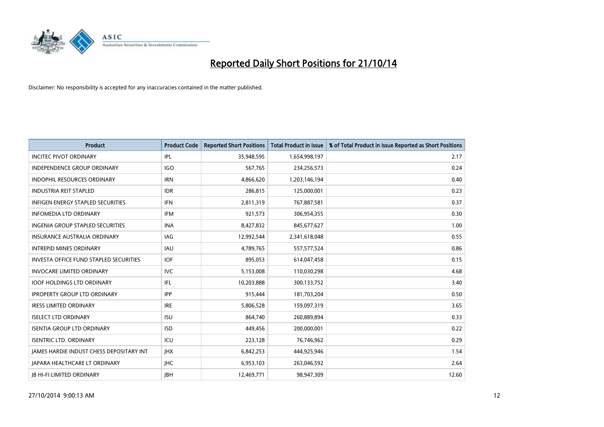

| <b>Product</b>                           | <b>Product Code</b> | <b>Reported Short Positions</b> | <b>Total Product in Issue</b> | % of Total Product in Issue Reported as Short Positions |
|------------------------------------------|---------------------|---------------------------------|-------------------------------|---------------------------------------------------------|
| <b>INCITEC PIVOT ORDINARY</b>            | IPL                 | 35,948,595                      | 1,654,998,197                 | 2.17                                                    |
| INDEPENDENCE GROUP ORDINARY              | <b>IGO</b>          | 567,765                         | 234,256,573                   | 0.24                                                    |
| <b>INDOPHIL RESOURCES ORDINARY</b>       | <b>IRN</b>          | 4,866,620                       | 1,203,146,194                 | 0.40                                                    |
| <b>INDUSTRIA REIT STAPLED</b>            | <b>IDR</b>          | 286,815                         | 125,000,001                   | 0.23                                                    |
| <b>INFIGEN ENERGY STAPLED SECURITIES</b> | <b>IFN</b>          | 2,811,319                       | 767,887,581                   | 0.37                                                    |
| <b>INFOMEDIA LTD ORDINARY</b>            | <b>IFM</b>          | 921,573                         | 306,954,355                   | 0.30                                                    |
| <b>INGENIA GROUP STAPLED SECURITIES</b>  | <b>INA</b>          | 8,427,832                       | 845,677,627                   | 1.00                                                    |
| <b>INSURANCE AUSTRALIA ORDINARY</b>      | IAG                 | 12,992,544                      | 2,341,618,048                 | 0.55                                                    |
| <b>INTREPID MINES ORDINARY</b>           | IAU                 | 4,789,765                       | 557, 577, 524                 | 0.86                                                    |
| INVESTA OFFICE FUND STAPLED SECURITIES   | IOF.                | 895,053                         | 614,047,458                   | 0.15                                                    |
| <b>INVOCARE LIMITED ORDINARY</b>         | <b>IVC</b>          | 5,153,008                       | 110,030,298                   | 4.68                                                    |
| <b>IOOF HOLDINGS LTD ORDINARY</b>        | IFL                 | 10,203,888                      | 300,133,752                   | 3.40                                                    |
| <b>IPROPERTY GROUP LTD ORDINARY</b>      | <b>IPP</b>          | 915,444                         | 181,703,204                   | 0.50                                                    |
| <b>IRESS LIMITED ORDINARY</b>            | <b>IRE</b>          | 5,806,528                       | 159,097,319                   | 3.65                                                    |
| <b>ISELECT LTD ORDINARY</b>              | <b>ISU</b>          | 864,740                         | 260,889,894                   | 0.33                                                    |
| <b>ISENTIA GROUP LTD ORDINARY</b>        | <b>ISD</b>          | 449,456                         | 200,000,001                   | 0.22                                                    |
| <b>ISENTRIC LTD. ORDINARY</b>            | ICU                 | 223,128                         | 76,746,962                    | 0.29                                                    |
| JAMES HARDIE INDUST CHESS DEPOSITARY INT | <b>IHX</b>          | 6,842,253                       | 444,925,946                   | 1.54                                                    |
| <b>IAPARA HEALTHCARE LT ORDINARY</b>     | <b>IHC</b>          | 6,953,103                       | 263,046,592                   | 2.64                                                    |
| <b>IB HI-FI LIMITED ORDINARY</b>         | <b>JBH</b>          | 12,469,771                      | 98,947,309                    | 12.60                                                   |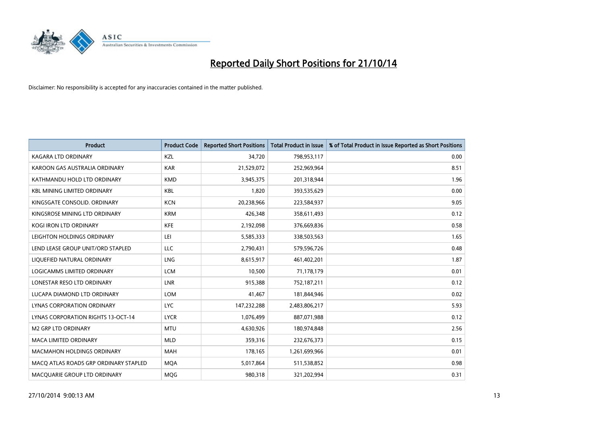

| <b>Product</b>                            | <b>Product Code</b> | <b>Reported Short Positions</b> | <b>Total Product in Issue</b> | % of Total Product in Issue Reported as Short Positions |
|-------------------------------------------|---------------------|---------------------------------|-------------------------------|---------------------------------------------------------|
| <b>KAGARA LTD ORDINARY</b>                | KZL                 | 34,720                          | 798,953,117                   | 0.00                                                    |
| KAROON GAS AUSTRALIA ORDINARY             | <b>KAR</b>          | 21,529,072                      | 252,969,964                   | 8.51                                                    |
| KATHMANDU HOLD LTD ORDINARY               | <b>KMD</b>          | 3,945,375                       | 201,318,944                   | 1.96                                                    |
| <b>KBL MINING LIMITED ORDINARY</b>        | <b>KBL</b>          | 1,820                           | 393,535,629                   | 0.00                                                    |
| KINGSGATE CONSOLID, ORDINARY              | <b>KCN</b>          | 20,238,966                      | 223,584,937                   | 9.05                                                    |
| KINGSROSE MINING LTD ORDINARY             | <b>KRM</b>          | 426,348                         | 358,611,493                   | 0.12                                                    |
| <b>KOGI IRON LTD ORDINARY</b>             | <b>KFE</b>          | 2,192,098                       | 376,669,836                   | 0.58                                                    |
| LEIGHTON HOLDINGS ORDINARY                | LEI                 | 5,585,333                       | 338,503,563                   | 1.65                                                    |
| LEND LEASE GROUP UNIT/ORD STAPLED         | LLC                 | 2,790,431                       | 579,596,726                   | 0.48                                                    |
| LIQUEFIED NATURAL ORDINARY                | LNG                 | 8,615,917                       | 461,402,201                   | 1.87                                                    |
| LOGICAMMS LIMITED ORDINARY                | <b>LCM</b>          | 10,500                          | 71,178,179                    | 0.01                                                    |
| LONESTAR RESO LTD ORDINARY                | <b>LNR</b>          | 915,388                         | 752,187,211                   | 0.12                                                    |
| LUCAPA DIAMOND LTD ORDINARY               | <b>LOM</b>          | 41,467                          | 181,844,946                   | 0.02                                                    |
| LYNAS CORPORATION ORDINARY                | <b>LYC</b>          | 147,232,288                     | 2,483,806,217                 | 5.93                                                    |
| <b>LYNAS CORPORATION RIGHTS 13-OCT-14</b> | <b>LYCR</b>         | 1,076,499                       | 887,071,988                   | 0.12                                                    |
| <b>M2 GRP LTD ORDINARY</b>                | <b>MTU</b>          | 4,630,926                       | 180,974,848                   | 2.56                                                    |
| <b>MACA LIMITED ORDINARY</b>              | <b>MLD</b>          | 359,316                         | 232,676,373                   | 0.15                                                    |
| <b>MACMAHON HOLDINGS ORDINARY</b>         | <b>MAH</b>          | 178,165                         | 1,261,699,966                 | 0.01                                                    |
| MACO ATLAS ROADS GRP ORDINARY STAPLED     | <b>MOA</b>          | 5,017,864                       | 511,538,852                   | 0.98                                                    |
| MACQUARIE GROUP LTD ORDINARY              | <b>MOG</b>          | 980,318                         | 321,202,994                   | 0.31                                                    |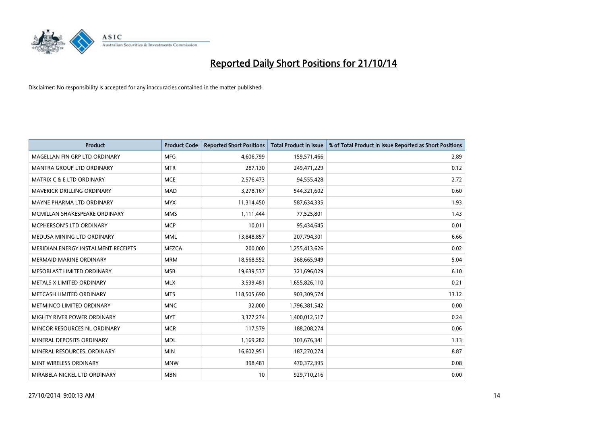

| <b>Product</b>                       | <b>Product Code</b> | <b>Reported Short Positions</b> | <b>Total Product in Issue</b> | % of Total Product in Issue Reported as Short Positions |
|--------------------------------------|---------------------|---------------------------------|-------------------------------|---------------------------------------------------------|
| MAGELLAN FIN GRP LTD ORDINARY        | <b>MFG</b>          | 4,606,799                       | 159,571,466                   | 2.89                                                    |
| MANTRA GROUP LTD ORDINARY            | <b>MTR</b>          | 287,130                         | 249,471,229                   | 0.12                                                    |
| <b>MATRIX C &amp; E LTD ORDINARY</b> | <b>MCE</b>          | 2,576,473                       | 94,555,428                    | 2.72                                                    |
| <b>MAVERICK DRILLING ORDINARY</b>    | <b>MAD</b>          | 3,278,167                       | 544,321,602                   | 0.60                                                    |
| MAYNE PHARMA LTD ORDINARY            | <b>MYX</b>          | 11,314,450                      | 587,634,335                   | 1.93                                                    |
| MCMILLAN SHAKESPEARE ORDINARY        | <b>MMS</b>          | 1,111,444                       | 77,525,801                    | 1.43                                                    |
| MCPHERSON'S LTD ORDINARY             | <b>MCP</b>          | 10,011                          | 95,434,645                    | 0.01                                                    |
| MEDUSA MINING LTD ORDINARY           | <b>MML</b>          | 13,848,857                      | 207,794,301                   | 6.66                                                    |
| MERIDIAN ENERGY INSTALMENT RECEIPTS  | <b>MEZCA</b>        | 200,000                         | 1,255,413,626                 | 0.02                                                    |
| MERMAID MARINE ORDINARY              | <b>MRM</b>          | 18,568,552                      | 368,665,949                   | 5.04                                                    |
| MESOBLAST LIMITED ORDINARY           | <b>MSB</b>          | 19,639,537                      | 321,696,029                   | 6.10                                                    |
| METALS X LIMITED ORDINARY            | <b>MLX</b>          | 3,539,481                       | 1,655,826,110                 | 0.21                                                    |
| METCASH LIMITED ORDINARY             | <b>MTS</b>          | 118,505,690                     | 903,309,574                   | 13.12                                                   |
| METMINCO LIMITED ORDINARY            | <b>MNC</b>          | 32,000                          | 1,796,381,542                 | 0.00                                                    |
| MIGHTY RIVER POWER ORDINARY          | <b>MYT</b>          | 3,377,274                       | 1,400,012,517                 | 0.24                                                    |
| MINCOR RESOURCES NL ORDINARY         | <b>MCR</b>          | 117,579                         | 188,208,274                   | 0.06                                                    |
| MINERAL DEPOSITS ORDINARY            | <b>MDL</b>          | 1,169,282                       | 103,676,341                   | 1.13                                                    |
| MINERAL RESOURCES. ORDINARY          | <b>MIN</b>          | 16,602,951                      | 187,270,274                   | 8.87                                                    |
| MINT WIRELESS ORDINARY               | <b>MNW</b>          | 398,481                         | 470,372,395                   | 0.08                                                    |
| MIRABELA NICKEL LTD ORDINARY         | <b>MBN</b>          | 10                              | 929,710,216                   | 0.00                                                    |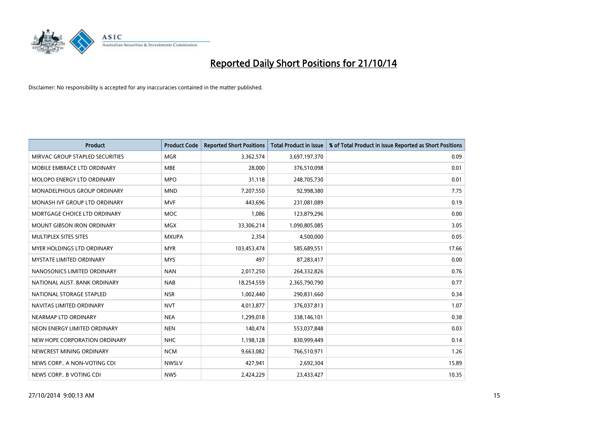

| <b>Product</b>                    | <b>Product Code</b> | <b>Reported Short Positions</b> | <b>Total Product in Issue</b> | % of Total Product in Issue Reported as Short Positions |
|-----------------------------------|---------------------|---------------------------------|-------------------------------|---------------------------------------------------------|
| MIRVAC GROUP STAPLED SECURITIES   | <b>MGR</b>          | 3,362,574                       | 3,697,197,370                 | 0.09                                                    |
| MOBILE EMBRACE LTD ORDINARY       | <b>MBE</b>          | 28,000                          | 376,510,098                   | 0.01                                                    |
| <b>MOLOPO ENERGY LTD ORDINARY</b> | <b>MPO</b>          | 31,118                          | 248,705,730                   | 0.01                                                    |
| MONADELPHOUS GROUP ORDINARY       | <b>MND</b>          | 7,207,550                       | 92,998,380                    | 7.75                                                    |
| MONASH IVF GROUP LTD ORDINARY     | <b>MVF</b>          | 443,696                         | 231,081,089                   | 0.19                                                    |
| MORTGAGE CHOICE LTD ORDINARY      | <b>MOC</b>          | 1,086                           | 123,879,296                   | 0.00                                                    |
| <b>MOUNT GIBSON IRON ORDINARY</b> | <b>MGX</b>          | 33,306,214                      | 1,090,805,085                 | 3.05                                                    |
| MULTIPLEX SITES SITES             | <b>MXUPA</b>        | 2,354                           | 4,500,000                     | 0.05                                                    |
| MYER HOLDINGS LTD ORDINARY        | <b>MYR</b>          | 103,453,474                     | 585,689,551                   | 17.66                                                   |
| <b>MYSTATE LIMITED ORDINARY</b>   | <b>MYS</b>          | 497                             | 87,283,417                    | 0.00                                                    |
| NANOSONICS LIMITED ORDINARY       | <b>NAN</b>          | 2,017,250                       | 264,332,826                   | 0.76                                                    |
| NATIONAL AUST, BANK ORDINARY      | <b>NAB</b>          | 18,254,559                      | 2,365,790,790                 | 0.77                                                    |
| NATIONAL STORAGE STAPLED          | <b>NSR</b>          | 1,002,440                       | 290,831,660                   | 0.34                                                    |
| NAVITAS LIMITED ORDINARY          | <b>NVT</b>          | 4,013,877                       | 376,037,813                   | 1.07                                                    |
| NEARMAP LTD ORDINARY              | <b>NEA</b>          | 1,299,018                       | 338,146,101                   | 0.38                                                    |
| NEON ENERGY LIMITED ORDINARY      | <b>NEN</b>          | 140,474                         | 553,037,848                   | 0.03                                                    |
| NEW HOPE CORPORATION ORDINARY     | <b>NHC</b>          | 1,198,128                       | 830,999,449                   | 0.14                                                    |
| NEWCREST MINING ORDINARY          | <b>NCM</b>          | 9,663,082                       | 766,510,971                   | 1.26                                                    |
| NEWS CORP A NON-VOTING CDI        | <b>NWSLV</b>        | 427,941                         | 2,692,304                     | 15.89                                                   |
| NEWS CORP B VOTING CDI            | <b>NWS</b>          | 2,424,229                       | 23,433,427                    | 10.35                                                   |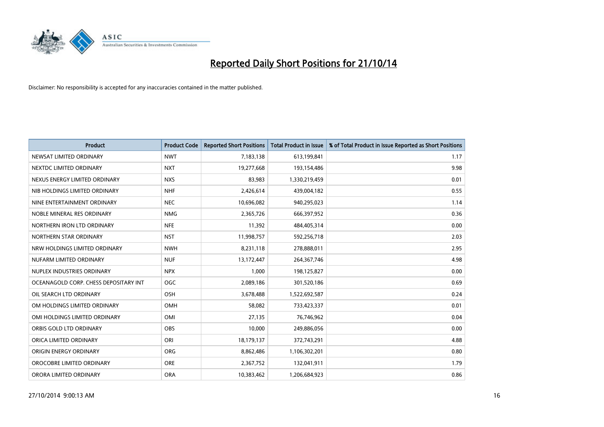

| <b>Product</b>                        | <b>Product Code</b> | <b>Reported Short Positions</b> | <b>Total Product in Issue</b> | % of Total Product in Issue Reported as Short Positions |
|---------------------------------------|---------------------|---------------------------------|-------------------------------|---------------------------------------------------------|
| NEWSAT LIMITED ORDINARY               | <b>NWT</b>          | 7,183,138                       | 613,199,841                   | 1.17                                                    |
| NEXTDC LIMITED ORDINARY               | <b>NXT</b>          | 19,277,668                      | 193,154,486                   | 9.98                                                    |
| NEXUS ENERGY LIMITED ORDINARY         | <b>NXS</b>          | 83,983                          | 1,330,219,459                 | 0.01                                                    |
| NIB HOLDINGS LIMITED ORDINARY         | <b>NHF</b>          | 2,426,614                       | 439,004,182                   | 0.55                                                    |
| NINE ENTERTAINMENT ORDINARY           | <b>NEC</b>          | 10,696,082                      | 940,295,023                   | 1.14                                                    |
| NOBLE MINERAL RES ORDINARY            | <b>NMG</b>          | 2,365,726                       | 666,397,952                   | 0.36                                                    |
| NORTHERN IRON LTD ORDINARY            | <b>NFE</b>          | 11,392                          | 484,405,314                   | 0.00                                                    |
| NORTHERN STAR ORDINARY                | <b>NST</b>          | 11,998,757                      | 592,256,718                   | 2.03                                                    |
| NRW HOLDINGS LIMITED ORDINARY         | <b>NWH</b>          | 8,231,118                       | 278,888,011                   | 2.95                                                    |
| NUFARM LIMITED ORDINARY               | <b>NUF</b>          | 13,172,447                      | 264, 367, 746                 | 4.98                                                    |
| NUPLEX INDUSTRIES ORDINARY            | <b>NPX</b>          | 1,000                           | 198,125,827                   | 0.00                                                    |
| OCEANAGOLD CORP. CHESS DEPOSITARY INT | <b>OGC</b>          | 2,089,186                       | 301,520,186                   | 0.69                                                    |
| OIL SEARCH LTD ORDINARY               | OSH                 | 3,678,488                       | 1,522,692,587                 | 0.24                                                    |
| OM HOLDINGS LIMITED ORDINARY          | OMH                 | 58,082                          | 733,423,337                   | 0.01                                                    |
| OMI HOLDINGS LIMITED ORDINARY         | OMI                 | 27,135                          | 76,746,962                    | 0.04                                                    |
| ORBIS GOLD LTD ORDINARY               | <b>OBS</b>          | 10,000                          | 249,886,056                   | 0.00                                                    |
| ORICA LIMITED ORDINARY                | ORI                 | 18,179,137                      | 372,743,291                   | 4.88                                                    |
| ORIGIN ENERGY ORDINARY                | <b>ORG</b>          | 8,862,486                       | 1,106,302,201                 | 0.80                                                    |
| OROCOBRE LIMITED ORDINARY             | <b>ORE</b>          | 2,367,752                       | 132,041,911                   | 1.79                                                    |
| ORORA LIMITED ORDINARY                | <b>ORA</b>          | 10,383,462                      | 1,206,684,923                 | 0.86                                                    |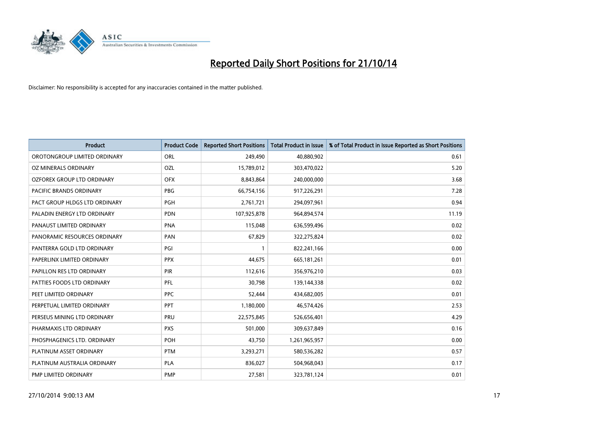

| <b>Product</b>                 | <b>Product Code</b> | <b>Reported Short Positions</b> | <b>Total Product in Issue</b> | % of Total Product in Issue Reported as Short Positions |
|--------------------------------|---------------------|---------------------------------|-------------------------------|---------------------------------------------------------|
| OROTONGROUP LIMITED ORDINARY   | ORL                 | 249,490                         | 40,880,902                    | 0.61                                                    |
| OZ MINERALS ORDINARY           | OZL                 | 15,789,012                      | 303,470,022                   | 5.20                                                    |
| OZFOREX GROUP LTD ORDINARY     | <b>OFX</b>          | 8,843,864                       | 240,000,000                   | 3.68                                                    |
| <b>PACIFIC BRANDS ORDINARY</b> | <b>PBG</b>          | 66,754,156                      | 917,226,291                   | 7.28                                                    |
| PACT GROUP HLDGS LTD ORDINARY  | <b>PGH</b>          | 2,761,721                       | 294,097,961                   | 0.94                                                    |
| PALADIN ENERGY LTD ORDINARY    | <b>PDN</b>          | 107,925,878                     | 964,894,574                   | 11.19                                                   |
| PANAUST LIMITED ORDINARY       | <b>PNA</b>          | 115,048                         | 636,599,496                   | 0.02                                                    |
| PANORAMIC RESOURCES ORDINARY   | PAN                 | 67,829                          | 322,275,824                   | 0.02                                                    |
| PANTERRA GOLD LTD ORDINARY     | PGI                 | $\mathbf{1}$                    | 822,241,166                   | 0.00                                                    |
| PAPERLINX LIMITED ORDINARY     | <b>PPX</b>          | 44,675                          | 665,181,261                   | 0.01                                                    |
| PAPILLON RES LTD ORDINARY      | PIR                 | 112,616                         | 356,976,210                   | 0.03                                                    |
| PATTIES FOODS LTD ORDINARY     | PFL                 | 30,798                          | 139,144,338                   | 0.02                                                    |
| PEET LIMITED ORDINARY          | <b>PPC</b>          | 52,444                          | 434,682,005                   | 0.01                                                    |
| PERPETUAL LIMITED ORDINARY     | PPT                 | 1,180,000                       | 46,574,426                    | 2.53                                                    |
| PERSEUS MINING LTD ORDINARY    | PRU                 | 22,575,845                      | 526,656,401                   | 4.29                                                    |
| PHARMAXIS LTD ORDINARY         | <b>PXS</b>          | 501,000                         | 309,637,849                   | 0.16                                                    |
| PHOSPHAGENICS LTD. ORDINARY    | <b>POH</b>          | 43,750                          | 1,261,965,957                 | 0.00                                                    |
| PLATINUM ASSET ORDINARY        | <b>PTM</b>          | 3,293,271                       | 580,536,282                   | 0.57                                                    |
| PLATINUM AUSTRALIA ORDINARY    | <b>PLA</b>          | 836,027                         | 504,968,043                   | 0.17                                                    |
| PMP LIMITED ORDINARY           | <b>PMP</b>          | 27,581                          | 323,781,124                   | 0.01                                                    |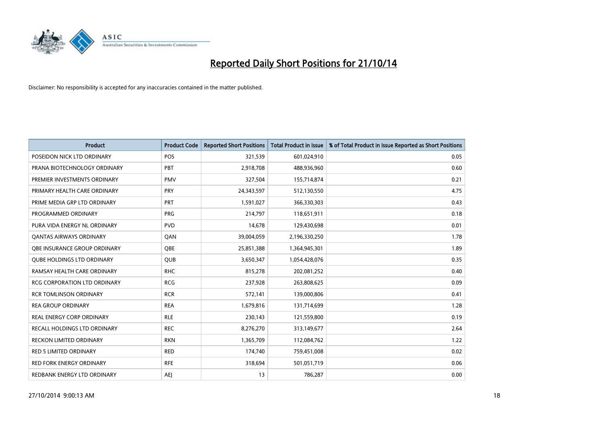

| <b>Product</b>                      | <b>Product Code</b> | <b>Reported Short Positions</b> | <b>Total Product in Issue</b> | % of Total Product in Issue Reported as Short Positions |
|-------------------------------------|---------------------|---------------------------------|-------------------------------|---------------------------------------------------------|
| POSEIDON NICK LTD ORDINARY          | <b>POS</b>          | 321,539                         | 601,024,910                   | 0.05                                                    |
| PRANA BIOTECHNOLOGY ORDINARY        | PBT                 | 2,918,708                       | 488,936,960                   | 0.60                                                    |
| PREMIER INVESTMENTS ORDINARY        | <b>PMV</b>          | 327,504                         | 155,714,874                   | 0.21                                                    |
| PRIMARY HEALTH CARE ORDINARY        | PRY                 | 24,343,597                      | 512,130,550                   | 4.75                                                    |
| PRIME MEDIA GRP LTD ORDINARY        | PRT                 | 1,591,027                       | 366,330,303                   | 0.43                                                    |
| PROGRAMMED ORDINARY                 | <b>PRG</b>          | 214,797                         | 118,651,911                   | 0.18                                                    |
| PURA VIDA ENERGY NL ORDINARY        | <b>PVD</b>          | 14,678                          | 129,430,698                   | 0.01                                                    |
| <b>QANTAS AIRWAYS ORDINARY</b>      | QAN                 | 39,004,059                      | 2,196,330,250                 | 1.78                                                    |
| OBE INSURANCE GROUP ORDINARY        | <b>OBE</b>          | 25,851,388                      | 1,364,945,301                 | 1.89                                                    |
| <b>QUBE HOLDINGS LTD ORDINARY</b>   | <b>QUB</b>          | 3,650,347                       | 1,054,428,076                 | 0.35                                                    |
| RAMSAY HEALTH CARE ORDINARY         | <b>RHC</b>          | 815,278                         | 202,081,252                   | 0.40                                                    |
| <b>RCG CORPORATION LTD ORDINARY</b> | <b>RCG</b>          | 237,928                         | 263,808,625                   | 0.09                                                    |
| <b>RCR TOMLINSON ORDINARY</b>       | <b>RCR</b>          | 572,141                         | 139,000,806                   | 0.41                                                    |
| <b>REA GROUP ORDINARY</b>           | <b>REA</b>          | 1,679,816                       | 131,714,699                   | 1.28                                                    |
| REAL ENERGY CORP ORDINARY           | <b>RLE</b>          | 230,143                         | 121,559,800                   | 0.19                                                    |
| RECALL HOLDINGS LTD ORDINARY        | <b>REC</b>          | 8,276,270                       | 313,149,677                   | 2.64                                                    |
| <b>RECKON LIMITED ORDINARY</b>      | <b>RKN</b>          | 1,365,709                       | 112,084,762                   | 1.22                                                    |
| <b>RED 5 LIMITED ORDINARY</b>       | <b>RED</b>          | 174,740                         | 759,451,008                   | 0.02                                                    |
| <b>RED FORK ENERGY ORDINARY</b>     | <b>RFE</b>          | 318,694                         | 501,051,719                   | 0.06                                                    |
| REDBANK ENERGY LTD ORDINARY         | <b>AEJ</b>          | 13                              | 786,287                       | 0.00                                                    |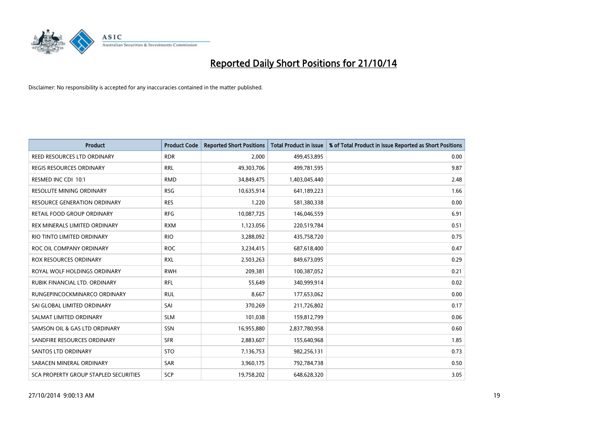

| <b>Product</b>                        | <b>Product Code</b> | <b>Reported Short Positions</b> | <b>Total Product in Issue</b> | % of Total Product in Issue Reported as Short Positions |
|---------------------------------------|---------------------|---------------------------------|-------------------------------|---------------------------------------------------------|
| REED RESOURCES LTD ORDINARY           | <b>RDR</b>          | 2.000                           | 499,453,895                   | 0.00                                                    |
| REGIS RESOURCES ORDINARY              | <b>RRL</b>          | 49,303,706                      | 499,781,595                   | 9.87                                                    |
| RESMED INC CDI 10:1                   | <b>RMD</b>          | 34,849,475                      | 1,403,045,440                 | 2.48                                                    |
| <b>RESOLUTE MINING ORDINARY</b>       | <b>RSG</b>          | 10,635,914                      | 641,189,223                   | 1.66                                                    |
| <b>RESOURCE GENERATION ORDINARY</b>   | <b>RES</b>          | 1,220                           | 581,380,338                   | 0.00                                                    |
| RETAIL FOOD GROUP ORDINARY            | <b>RFG</b>          | 10,087,725                      | 146,046,559                   | 6.91                                                    |
| REX MINERALS LIMITED ORDINARY         | <b>RXM</b>          | 1,123,056                       | 220,519,784                   | 0.51                                                    |
| RIO TINTO LIMITED ORDINARY            | <b>RIO</b>          | 3,288,092                       | 435,758,720                   | 0.75                                                    |
| ROC OIL COMPANY ORDINARY              | <b>ROC</b>          | 3,234,415                       | 687,618,400                   | 0.47                                                    |
| <b>ROX RESOURCES ORDINARY</b>         | <b>RXL</b>          | 2,503,263                       | 849,673,095                   | 0.29                                                    |
| ROYAL WOLF HOLDINGS ORDINARY          | <b>RWH</b>          | 209,381                         | 100,387,052                   | 0.21                                                    |
| RUBIK FINANCIAL LTD. ORDINARY         | RFL                 | 55,649                          | 340,999,914                   | 0.02                                                    |
| RUNGEPINCOCKMINARCO ORDINARY          | <b>RUL</b>          | 8,667                           | 177,653,062                   | 0.00                                                    |
| SAI GLOBAL LIMITED ORDINARY           | SAI                 | 370,269                         | 211,726,802                   | 0.17                                                    |
| SALMAT LIMITED ORDINARY               | <b>SLM</b>          | 101,038                         | 159,812,799                   | 0.06                                                    |
| SAMSON OIL & GAS LTD ORDINARY         | SSN                 | 16,955,880                      | 2,837,780,958                 | 0.60                                                    |
| SANDFIRE RESOURCES ORDINARY           | <b>SFR</b>          | 2,883,607                       | 155,640,968                   | 1.85                                                    |
| SANTOS LTD ORDINARY                   | <b>STO</b>          | 7,136,753                       | 982,256,131                   | 0.73                                                    |
| SARACEN MINERAL ORDINARY              | <b>SAR</b>          | 3,960,175                       | 792,784,738                   | 0.50                                                    |
| SCA PROPERTY GROUP STAPLED SECURITIES | SCP                 | 19,758,202                      | 648,628,320                   | 3.05                                                    |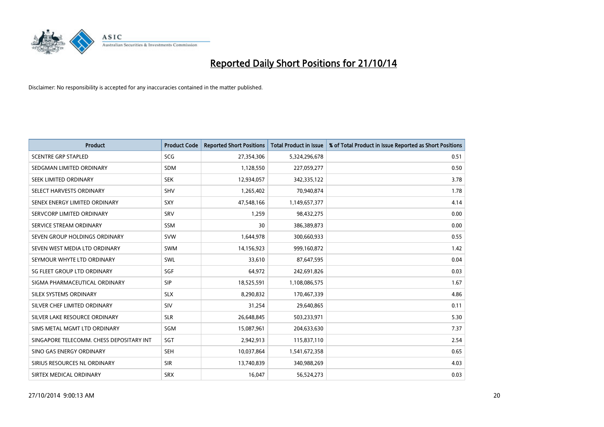

| <b>Product</b>                           | <b>Product Code</b> | <b>Reported Short Positions</b> | <b>Total Product in Issue</b> | % of Total Product in Issue Reported as Short Positions |
|------------------------------------------|---------------------|---------------------------------|-------------------------------|---------------------------------------------------------|
| <b>SCENTRE GRP STAPLED</b>               | <b>SCG</b>          | 27,354,306                      | 5,324,296,678                 | 0.51                                                    |
| SEDGMAN LIMITED ORDINARY                 | <b>SDM</b>          | 1,128,550                       | 227,059,277                   | 0.50                                                    |
| SEEK LIMITED ORDINARY                    | <b>SEK</b>          | 12,934,057                      | 342,335,122                   | 3.78                                                    |
| SELECT HARVESTS ORDINARY                 | <b>SHV</b>          | 1,265,402                       | 70,940,874                    | 1.78                                                    |
| SENEX ENERGY LIMITED ORDINARY            | SXY                 | 47,548,166                      | 1,149,657,377                 | 4.14                                                    |
| SERVCORP LIMITED ORDINARY                | SRV                 | 1,259                           | 98,432,275                    | 0.00                                                    |
| SERVICE STREAM ORDINARY                  | <b>SSM</b>          | 30                              | 386,389,873                   | 0.00                                                    |
| SEVEN GROUP HOLDINGS ORDINARY            | <b>SVW</b>          | 1,644,978                       | 300,660,933                   | 0.55                                                    |
| SEVEN WEST MEDIA LTD ORDINARY            | <b>SWM</b>          | 14,156,923                      | 999,160,872                   | 1.42                                                    |
| SEYMOUR WHYTE LTD ORDINARY               | <b>SWL</b>          | 33,610                          | 87,647,595                    | 0.04                                                    |
| SG FLEET GROUP LTD ORDINARY              | SGF                 | 64,972                          | 242,691,826                   | 0.03                                                    |
| SIGMA PHARMACEUTICAL ORDINARY            | <b>SIP</b>          | 18,525,591                      | 1,108,086,575                 | 1.67                                                    |
| SILEX SYSTEMS ORDINARY                   | <b>SLX</b>          | 8,290,832                       | 170,467,339                   | 4.86                                                    |
| SILVER CHEF LIMITED ORDINARY             | SIV                 | 31,254                          | 29,640,865                    | 0.11                                                    |
| SILVER LAKE RESOURCE ORDINARY            | <b>SLR</b>          | 26,648,845                      | 503,233,971                   | 5.30                                                    |
| SIMS METAL MGMT LTD ORDINARY             | SGM                 | 15,087,961                      | 204,633,630                   | 7.37                                                    |
| SINGAPORE TELECOMM. CHESS DEPOSITARY INT | SGT                 | 2,942,913                       | 115,837,110                   | 2.54                                                    |
| SINO GAS ENERGY ORDINARY                 | <b>SEH</b>          | 10,037,864                      | 1,541,672,358                 | 0.65                                                    |
| SIRIUS RESOURCES NL ORDINARY             | <b>SIR</b>          | 13,740,839                      | 340,988,269                   | 4.03                                                    |
| SIRTEX MEDICAL ORDINARY                  | <b>SRX</b>          | 16,047                          | 56,524,273                    | 0.03                                                    |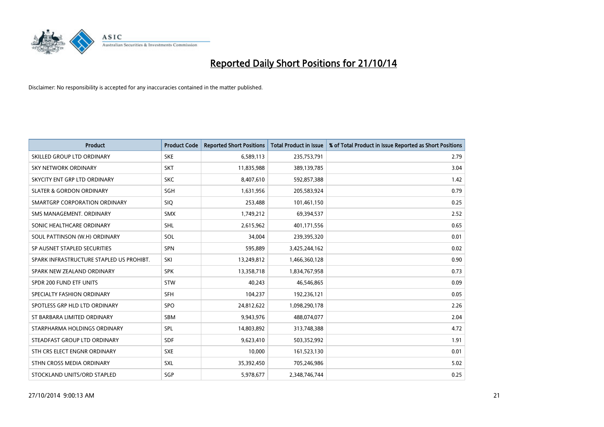

| <b>Product</b>                           | <b>Product Code</b> | <b>Reported Short Positions</b> | <b>Total Product in Issue</b> | % of Total Product in Issue Reported as Short Positions |
|------------------------------------------|---------------------|---------------------------------|-------------------------------|---------------------------------------------------------|
| SKILLED GROUP LTD ORDINARY               | <b>SKE</b>          | 6,589,113                       | 235,753,791                   | 2.79                                                    |
| SKY NETWORK ORDINARY                     | <b>SKT</b>          | 11,835,988                      | 389,139,785                   | 3.04                                                    |
| SKYCITY ENT GRP LTD ORDINARY             | <b>SKC</b>          | 8,407,610                       | 592,857,388                   | 1.42                                                    |
| <b>SLATER &amp; GORDON ORDINARY</b>      | SGH                 | 1,631,956                       | 205,583,924                   | 0.79                                                    |
| SMARTGRP CORPORATION ORDINARY            | <b>SIQ</b>          | 253,488                         | 101,461,150                   | 0.25                                                    |
| SMS MANAGEMENT, ORDINARY                 | <b>SMX</b>          | 1,749,212                       | 69,394,537                    | 2.52                                                    |
| SONIC HEALTHCARE ORDINARY                | <b>SHL</b>          | 2,615,962                       | 401,171,556                   | 0.65                                                    |
| SOUL PATTINSON (W.H) ORDINARY            | SOL                 | 34,004                          | 239,395,320                   | 0.01                                                    |
| SP AUSNET STAPLED SECURITIES             | <b>SPN</b>          | 595,889                         | 3,425,244,162                 | 0.02                                                    |
| SPARK INFRASTRUCTURE STAPLED US PROHIBT. | SKI                 | 13,249,812                      | 1,466,360,128                 | 0.90                                                    |
| SPARK NEW ZEALAND ORDINARY               | <b>SPK</b>          | 13,358,718                      | 1,834,767,958                 | 0.73                                                    |
| SPDR 200 FUND ETF UNITS                  | <b>STW</b>          | 40,243                          | 46,546,865                    | 0.09                                                    |
| SPECIALTY FASHION ORDINARY               | <b>SFH</b>          | 104,237                         | 192,236,121                   | 0.05                                                    |
| SPOTLESS GRP HLD LTD ORDINARY            | SPO                 | 24,812,622                      | 1,098,290,178                 | 2.26                                                    |
| ST BARBARA LIMITED ORDINARY              | <b>SBM</b>          | 9,943,976                       | 488,074,077                   | 2.04                                                    |
| STARPHARMA HOLDINGS ORDINARY             | SPL                 | 14,803,892                      | 313,748,388                   | 4.72                                                    |
| STEADFAST GROUP LTD ORDINARY             | <b>SDF</b>          | 9,623,410                       | 503,352,992                   | 1.91                                                    |
| STH CRS ELECT ENGNR ORDINARY             | <b>SXE</b>          | 10,000                          | 161,523,130                   | 0.01                                                    |
| STHN CROSS MEDIA ORDINARY                | SXL                 | 35,392,450                      | 705,246,986                   | 5.02                                                    |
| STOCKLAND UNITS/ORD STAPLED              | SGP                 | 5,978,677                       | 2,348,746,744                 | 0.25                                                    |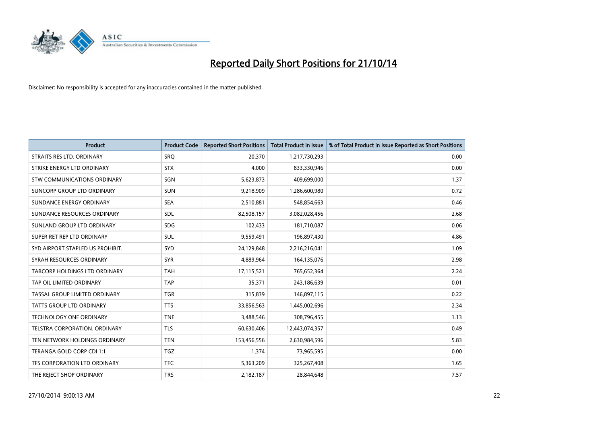

| <b>Product</b>                   | <b>Product Code</b> | <b>Reported Short Positions</b> | <b>Total Product in Issue</b> | % of Total Product in Issue Reported as Short Positions |
|----------------------------------|---------------------|---------------------------------|-------------------------------|---------------------------------------------------------|
| STRAITS RES LTD. ORDINARY        | SRO                 | 20,370                          | 1,217,730,293                 | 0.00                                                    |
| STRIKE ENERGY LTD ORDINARY       | <b>STX</b>          | 4,000                           | 833,330,946                   | 0.00                                                    |
| STW COMMUNICATIONS ORDINARY      | SGN                 | 5,623,873                       | 409,699,000                   | 1.37                                                    |
| SUNCORP GROUP LTD ORDINARY       | <b>SUN</b>          | 9,218,909                       | 1,286,600,980                 | 0.72                                                    |
| SUNDANCE ENERGY ORDINARY         | <b>SEA</b>          | 2,510,881                       | 548,854,663                   | 0.46                                                    |
| SUNDANCE RESOURCES ORDINARY      | <b>SDL</b>          | 82,508,157                      | 3,082,028,456                 | 2.68                                                    |
| SUNLAND GROUP LTD ORDINARY       | <b>SDG</b>          | 102,433                         | 181,710,087                   | 0.06                                                    |
| SUPER RET REP LTD ORDINARY       | SUL                 | 9,559,491                       | 196,897,430                   | 4.86                                                    |
| SYD AIRPORT STAPLED US PROHIBIT. | <b>SYD</b>          | 24,129,848                      | 2,216,216,041                 | 1.09                                                    |
| SYRAH RESOURCES ORDINARY         | <b>SYR</b>          | 4,889,964                       | 164,135,076                   | 2.98                                                    |
| TABCORP HOLDINGS LTD ORDINARY    | <b>TAH</b>          | 17,115,521                      | 765,652,364                   | 2.24                                                    |
| TAP OIL LIMITED ORDINARY         | <b>TAP</b>          | 35,371                          | 243,186,639                   | 0.01                                                    |
| TASSAL GROUP LIMITED ORDINARY    | <b>TGR</b>          | 315,839                         | 146,897,115                   | 0.22                                                    |
| <b>TATTS GROUP LTD ORDINARY</b>  | <b>TTS</b>          | 33,856,563                      | 1,445,002,696                 | 2.34                                                    |
| <b>TECHNOLOGY ONE ORDINARY</b>   | <b>TNE</b>          | 3,488,546                       | 308,796,455                   | 1.13                                                    |
| TELSTRA CORPORATION. ORDINARY    | <b>TLS</b>          | 60,630,406                      | 12,443,074,357                | 0.49                                                    |
| TEN NETWORK HOLDINGS ORDINARY    | <b>TEN</b>          | 153,456,556                     | 2,630,984,596                 | 5.83                                                    |
| TERANGA GOLD CORP CDI 1:1        | <b>TGZ</b>          | 1,374                           | 73,965,595                    | 0.00                                                    |
| TFS CORPORATION LTD ORDINARY     | <b>TFC</b>          | 5,363,209                       | 325,267,408                   | 1.65                                                    |
| THE REJECT SHOP ORDINARY         | <b>TRS</b>          | 2,182,187                       | 28,844,648                    | 7.57                                                    |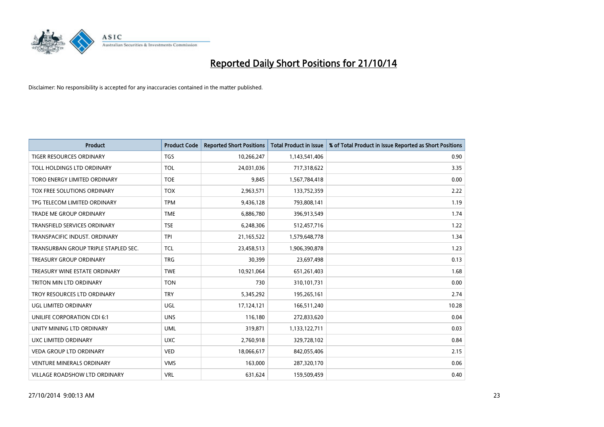

| <b>Product</b>                       | <b>Product Code</b> | <b>Reported Short Positions</b> | <b>Total Product in Issue</b> | % of Total Product in Issue Reported as Short Positions |
|--------------------------------------|---------------------|---------------------------------|-------------------------------|---------------------------------------------------------|
| <b>TIGER RESOURCES ORDINARY</b>      | <b>TGS</b>          | 10,266,247                      | 1,143,541,406                 | 0.90                                                    |
| TOLL HOLDINGS LTD ORDINARY           | <b>TOL</b>          | 24,031,036                      | 717,318,622                   | 3.35                                                    |
| TORO ENERGY LIMITED ORDINARY         | <b>TOE</b>          | 9,845                           | 1,567,784,418                 | 0.00                                                    |
| TOX FREE SOLUTIONS ORDINARY          | <b>TOX</b>          | 2,963,571                       | 133,752,359                   | 2.22                                                    |
| TPG TELECOM LIMITED ORDINARY         | <b>TPM</b>          | 9,436,128                       | 793,808,141                   | 1.19                                                    |
| <b>TRADE ME GROUP ORDINARY</b>       | <b>TME</b>          | 6,886,780                       | 396,913,549                   | 1.74                                                    |
| TRANSFIELD SERVICES ORDINARY         | <b>TSE</b>          | 6,248,306                       | 512,457,716                   | 1.22                                                    |
| TRANSPACIFIC INDUST. ORDINARY        | <b>TPI</b>          | 21,165,522                      | 1,579,648,778                 | 1.34                                                    |
| TRANSURBAN GROUP TRIPLE STAPLED SEC. | <b>TCL</b>          | 23,458,513                      | 1,906,390,878                 | 1.23                                                    |
| <b>TREASURY GROUP ORDINARY</b>       | <b>TRG</b>          | 30,399                          | 23,697,498                    | 0.13                                                    |
| TREASURY WINE ESTATE ORDINARY        | <b>TWE</b>          | 10,921,064                      | 651,261,403                   | 1.68                                                    |
| TRITON MIN LTD ORDINARY              | <b>TON</b>          | 730                             | 310,101,731                   | 0.00                                                    |
| TROY RESOURCES LTD ORDINARY          | <b>TRY</b>          | 5,345,292                       | 195,265,161                   | 2.74                                                    |
| UGL LIMITED ORDINARY                 | UGL                 | 17,124,121                      | 166,511,240                   | 10.28                                                   |
| UNILIFE CORPORATION CDI 6:1          | <b>UNS</b>          | 116,180                         | 272,833,620                   | 0.04                                                    |
| UNITY MINING LTD ORDINARY            | <b>UML</b>          | 319,871                         | 1,133,122,711                 | 0.03                                                    |
| UXC LIMITED ORDINARY                 | <b>UXC</b>          | 2,760,918                       | 329,728,102                   | 0.84                                                    |
| <b>VEDA GROUP LTD ORDINARY</b>       | <b>VED</b>          | 18,066,617                      | 842,055,406                   | 2.15                                                    |
| <b>VENTURE MINERALS ORDINARY</b>     | <b>VMS</b>          | 163,000                         | 287,320,170                   | 0.06                                                    |
| VILLAGE ROADSHOW LTD ORDINARY        | <b>VRL</b>          | 631,624                         | 159,509,459                   | 0.40                                                    |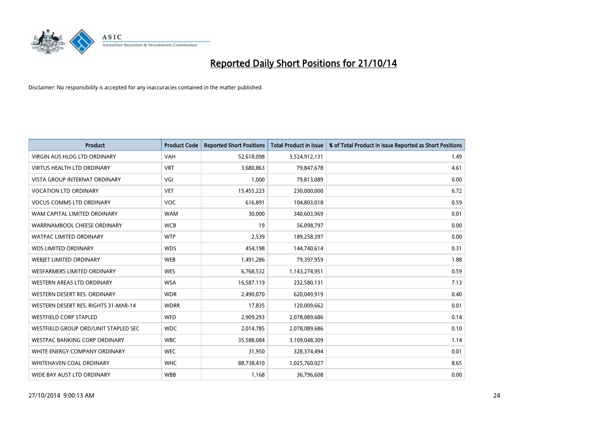

| <b>Product</b>                       | <b>Product Code</b> | <b>Reported Short Positions</b> | Total Product in Issue | % of Total Product in Issue Reported as Short Positions |
|--------------------------------------|---------------------|---------------------------------|------------------------|---------------------------------------------------------|
| <b>VIRGIN AUS HLDG LTD ORDINARY</b>  | <b>VAH</b>          | 52,618,098                      | 3,524,912,131          | 1.49                                                    |
| <b>VIRTUS HEALTH LTD ORDINARY</b>    | <b>VRT</b>          | 3,680,863                       | 79,847,678             | 4.61                                                    |
| <b>VISTA GROUP INTERNAT ORDINARY</b> | VGI                 | 1,000                           | 79,813,089             | 0.00                                                    |
| <b>VOCATION LTD ORDINARY</b>         | <b>VET</b>          | 15,455,223                      | 230,000,000            | 6.72                                                    |
| <b>VOCUS COMMS LTD ORDINARY</b>      | <b>VOC</b>          | 616,891                         | 104,803,018            | 0.59                                                    |
| WAM CAPITAL LIMITED ORDINARY         | <b>WAM</b>          | 30,000                          | 340,603,969            | 0.01                                                    |
| WARRNAMBOOL CHEESE ORDINARY          | <b>WCB</b>          | 19                              | 56,098,797             | 0.00                                                    |
| <b>WATPAC LIMITED ORDINARY</b>       | <b>WTP</b>          | 2,539                           | 189,258,397            | 0.00                                                    |
| <b>WDS LIMITED ORDINARY</b>          | <b>WDS</b>          | 454,198                         | 144,740,614            | 0.31                                                    |
| <b>WEBJET LIMITED ORDINARY</b>       | <b>WEB</b>          | 1,491,286                       | 79,397,959             | 1.88                                                    |
| WESFARMERS LIMITED ORDINARY          | <b>WES</b>          | 6,768,532                       | 1,143,274,951          | 0.59                                                    |
| <b>WESTERN AREAS LTD ORDINARY</b>    | <b>WSA</b>          | 16,587,119                      | 232,580,131            | 7.13                                                    |
| WESTERN DESERT RES. ORDINARY         | <b>WDR</b>          | 2,490,070                       | 620,049,919            | 0.40                                                    |
| WESTERN DESERT RES. RIGHTS 31-MAR-14 | <b>WDRR</b>         | 17,835                          | 120,009,662            | 0.01                                                    |
| <b>WESTFIELD CORP STAPLED</b>        | <b>WFD</b>          | 2,909,293                       | 2,078,089,686          | 0.14                                                    |
| WESTFIELD GROUP ORD/UNIT STAPLED SEC | <b>WDC</b>          | 2,014,785                       | 2,078,089,686          | 0.10                                                    |
| WESTPAC BANKING CORP ORDINARY        | <b>WBC</b>          | 35,588,084                      | 3,109,048,309          | 1.14                                                    |
| WHITE ENERGY COMPANY ORDINARY        | <b>WEC</b>          | 31,950                          | 328,374,494            | 0.01                                                    |
| WHITEHAVEN COAL ORDINARY             | <b>WHC</b>          | 88,738,410                      | 1,025,760,027          | 8.65                                                    |
| WIDE BAY AUST LTD ORDINARY           | <b>WBB</b>          | 1,168                           | 36,796,608             | 0.00                                                    |